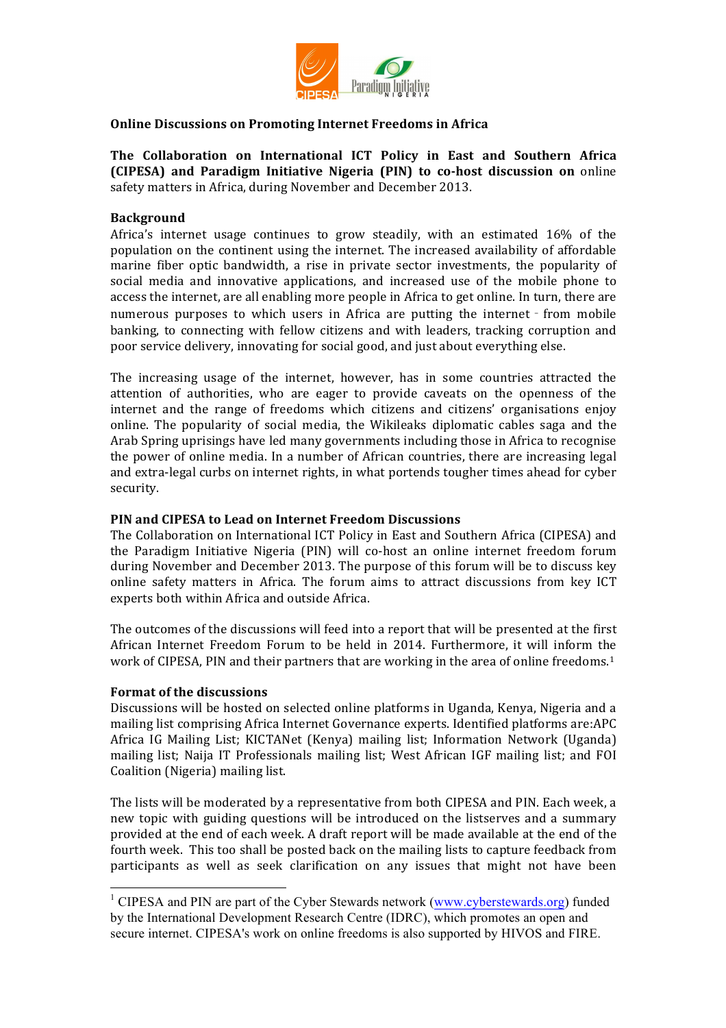

## **Online Discussions on Promoting Internet Freedoms in Africa**

**The Collaboration on International ICT Policy in East and Southern Africa (CIPESA)** and Paradigm Initiative Nigeria (PIN) to co-host discussion on online safety matters in Africa, during November and December 2013.

### **Background**

Africa's internet usage continues to grow steadily, with an estimated 16% of the population on the continent using the internet. The increased availability of affordable marine fiber optic bandwidth, a rise in private sector investments, the popularity of social media and innovative applications, and increased use of the mobile phone to access the internet, are all enabling more people in Africa to get online. In turn, there are numerous purposes to which users in Africa are putting the internet - from mobile banking, to connecting with fellow citizens and with leaders, tracking corruption and poor service delivery, innovating for social good, and just about everything else.

The increasing usage of the internet, however, has in some countries attracted the attention of authorities, who are eager to provide caveats on the openness of the internet and the range of freedoms which citizens and citizens' organisations enjoy online. The popularity of social media, the Wikileaks diplomatic cables saga and the Arab Spring uprisings have led many governments including those in Africa to recognise the power of online media. In a number of African countries, there are increasing legal and extra-legal curbs on internet rights, in what portends tougher times ahead for cyber security. 

### **PIN and CIPESA to Lead on Internet Freedom Discussions**

The Collaboration on International ICT Policy in East and Southern Africa (CIPESA) and the Paradigm Initiative Nigeria (PIN) will co-host an online internet freedom forum during November and December 2013. The purpose of this forum will be to discuss key online safety matters in Africa. The forum aims to attract discussions from key ICT experts both within Africa and outside Africa.

The outcomes of the discussions will feed into a report that will be presented at the first African Internet Freedom Forum to be held in 2014. Furthermore, it will inform the work of CIPESA, PIN and their partners that are working in the area of online freedoms.<sup>1</sup>

#### **Format of the discussions**

Discussions will be hosted on selected online platforms in Uganda, Kenya, Nigeria and a mailing list comprising Africa Internet Governance experts. Identified platforms are:APC Africa IG Mailing List; KICTANet (Kenya) mailing list; Information Network (Uganda) mailing list; Naija IT Professionals mailing list; West African IGF mailing list; and FOI Coalition (Nigeria) mailing list.

The lists will be moderated by a representative from both CIPESA and PIN. Each week, a new topic with guiding questions will be introduced on the listserves and a summary provided at the end of each week. A draft report will be made available at the end of the fourth week. This too shall be posted back on the mailing lists to capture feedback from participants as well as seek clarification on any issues that might not have been

 $1$  CIPESA and PIN are part of the Cyber Stewards network (www.cyberstewards.org) funded by the International Development Research Centre (IDRC), which promotes an open and secure internet. CIPESA's work on online freedoms is also supported by HIVOS and FIRE.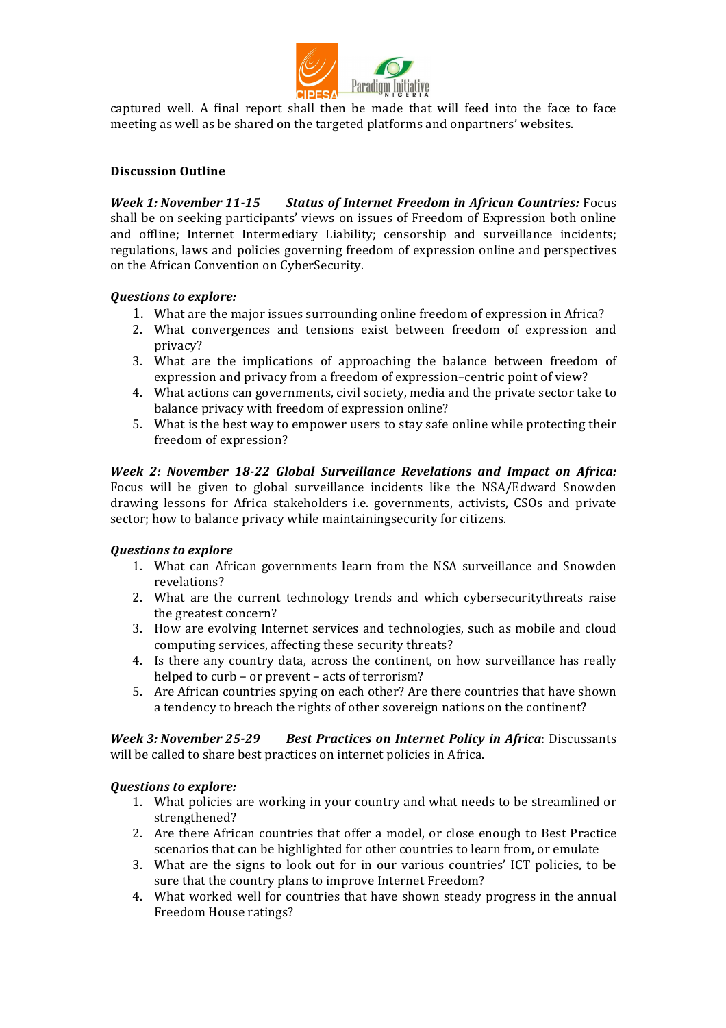

captured well. A final report shall then be made that will feed into the face to face meeting as well as be shared on the targeted platforms and onpartners' websites.

# **Discussion Outline**

*Week 1: November 11-15 Status of Internet Freedom in African Countries: Focus* shall be on seeking participants' views on issues of Freedom of Expression both online and offline; Internet Intermediary Liability; censorship and surveillance incidents; regulations, laws and policies governing freedom of expression online and perspectives on the African Convention on CyberSecurity.

## **Questions to explore:**

- 1. What are the major issues surrounding online freedom of expression in Africa?
- 2. What convergences and tensions exist between freedom of expression and privacy?
- 3. What are the implications of approaching the balance between freedom of expression and privacy from a freedom of expression–centric point of view?
- 4. What actions can governments, civil society, media and the private sector take to balance privacy with freedom of expression online?
- 5. What is the best way to empower users to stay safe online while protecting their freedom of expression?

*Week 2: November 18-22 Global Surveillance Revelations and Impact on Africa:* Focus will be given to global surveillance incidents like the NSA/Edward Snowden drawing lessons for Africa stakeholders *i.e.* governments, activists, CSOs and private sector; how to balance privacy while maintainingsecurity for citizens.

# *Questions to explore*

- 1. What can African governments learn from the NSA surveillance and Snowden revelations?
- 2. What are the current technology trends and which cybersecuritythreats raise the greatest concern?
- 3. How are evolving Internet services and technologies, such as mobile and cloud computing services, affecting these security threats?
- 4. Is there any country data, across the continent, on how surveillance has really helped to curb - or prevent - acts of terrorism?
- 5. Are African countries spying on each other? Are there countries that have shown a tendency to breach the rights of other sovereign nations on the continent?

*Week 3: November 25-29 Best Practices on Internet Policy in Africa: Discussants* will be called to share best practices on internet policies in Africa.

## *Ouestions to explore:*

- 1. What policies are working in your country and what needs to be streamlined or strengthened?
- 2. Are there African countries that offer a model, or close enough to Best Practice scenarios that can be highlighted for other countries to learn from, or emulate
- 3. What are the signs to look out for in our various countries' ICT policies, to be sure that the country plans to improve Internet Freedom?
- 4. What worked well for countries that have shown steady progress in the annual Freedom House ratings?